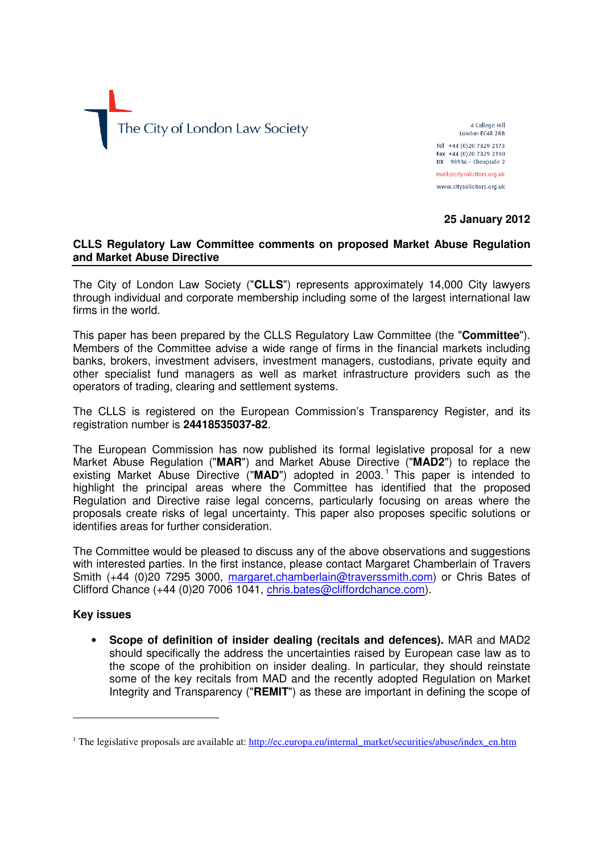

4 College Hill London EC4R 2RB Tel +44 (0)20 7329 2173 Fax +44 (0)20 7329 2190  $DX$  98936 - Cheapside 2 mail@citysolicitors.org.uk www.citysolicitors.org.uk

**25 January 2012** 

# **CLLS Regulatory Law Committee comments on proposed Market Abuse Regulation and Market Abuse Directive**

The City of London Law Society ("**CLLS**") represents approximately 14,000 City lawyers through individual and corporate membership including some of the largest international law firms in the world.

This paper has been prepared by the CLLS Regulatory Law Committee (the "**Committee**"). Members of the Committee advise a wide range of firms in the financial markets including banks, brokers, investment advisers, investment managers, custodians, private equity and other specialist fund managers as well as market infrastructure providers such as the operators of trading, clearing and settlement systems.

The CLLS is registered on the European Commission's Transparency Register, and its registration number is **24418535037-82**.

The European Commission has now published its formal legislative proposal for a new Market Abuse Regulation ("**MAR**") and Market Abuse Directive ("**MAD2**") to replace the existing Market Abuse Directive ("MAD") adopted in 2003.<sup>1</sup> This paper is intended to highlight the principal areas where the Committee has identified that the proposed Regulation and Directive raise legal concerns, particularly focusing on areas where the proposals create risks of legal uncertainty. This paper also proposes specific solutions or identifies areas for further consideration.

The Committee would be pleased to discuss any of the above observations and suggestions with interested parties. In the first instance, please contact Margaret Chamberlain of Travers Smith (+44 (0)20 7295 3000, margaret.chamberlain@traverssmith.com) or Chris Bates of Clifford Chance (+44 (0)20 7006 1041, chris.bates@cliffordchance.com).

# **Key issues**

 $\overline{a}$ 

• **Scope of definition of insider dealing (recitals and defences).** MAR and MAD2 should specifically the address the uncertainties raised by European case law as to the scope of the prohibition on insider dealing. In particular, they should reinstate some of the key recitals from MAD and the recently adopted Regulation on Market Integrity and Transparency ("**REMIT**") as these are important in defining the scope of

<sup>&</sup>lt;sup>1</sup> The legislative proposals are available at: http://ec.europa.eu/internal\_market/securities/abuse/index\_en.htm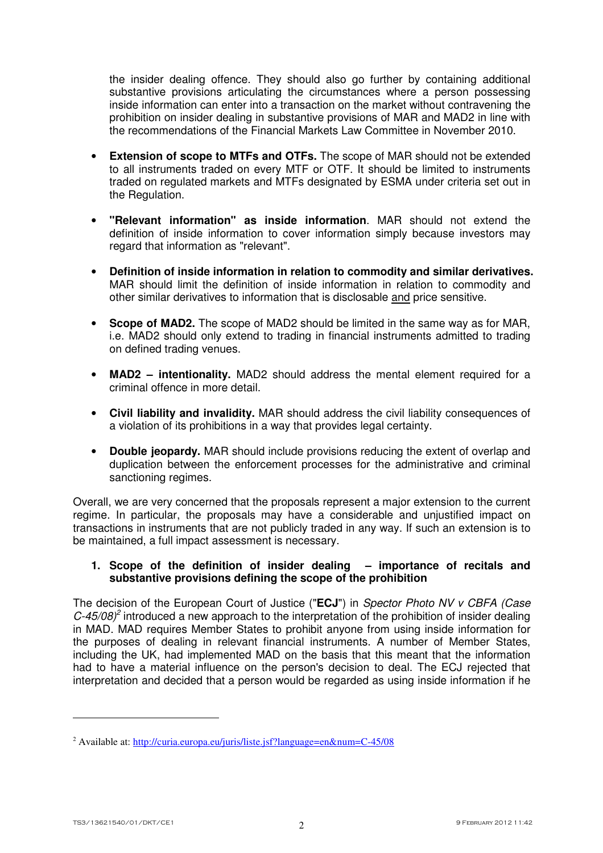the insider dealing offence. They should also go further by containing additional substantive provisions articulating the circumstances where a person possessing inside information can enter into a transaction on the market without contravening the prohibition on insider dealing in substantive provisions of MAR and MAD2 in line with the recommendations of the Financial Markets Law Committee in November 2010.

- **Extension of scope to MTFs and OTFs.** The scope of MAR should not be extended to all instruments traded on every MTF or OTF. It should be limited to instruments traded on regulated markets and MTFs designated by ESMA under criteria set out in the Regulation.
- **"Relevant information" as inside information**. MAR should not extend the definition of inside information to cover information simply because investors may regard that information as "relevant".
- **Definition of inside information in relation to commodity and similar derivatives.** MAR should limit the definition of inside information in relation to commodity and other similar derivatives to information that is disclosable and price sensitive.
- **Scope of MAD2.** The scope of MAD2 should be limited in the same way as for MAR, i.e. MAD2 should only extend to trading in financial instruments admitted to trading on defined trading venues.
- **MAD2 intentionality.** MAD2 should address the mental element required for a criminal offence in more detail.
- **Civil liability and invalidity.** MAR should address the civil liability consequences of a violation of its prohibitions in a way that provides legal certainty.
- **Double jeopardy.** MAR should include provisions reducing the extent of overlap and duplication between the enforcement processes for the administrative and criminal sanctioning regimes.

Overall, we are very concerned that the proposals represent a major extension to the current regime. In particular, the proposals may have a considerable and unjustified impact on transactions in instruments that are not publicly traded in any way. If such an extension is to be maintained, a full impact assessment is necessary.

### **1. Scope of the definition of insider dealing – importance of recitals and substantive provisions defining the scope of the prohibition**

The decision of the European Court of Justice ("**ECJ**") in Spector Photo NV v CBFA (Case  $C$ -45/08)<sup>2</sup> introduced a new approach to the interpretation of the prohibition of insider dealing in MAD. MAD requires Member States to prohibit anyone from using inside information for the purposes of dealing in relevant financial instruments. A number of Member States, including the UK, had implemented MAD on the basis that this meant that the information had to have a material influence on the person's decision to deal. The ECJ rejected that interpretation and decided that a person would be regarded as using inside information if he

<sup>&</sup>lt;sup>2</sup> Available at: http://curia.europa.eu/juris/liste.jsf?language=en&num=C-45/08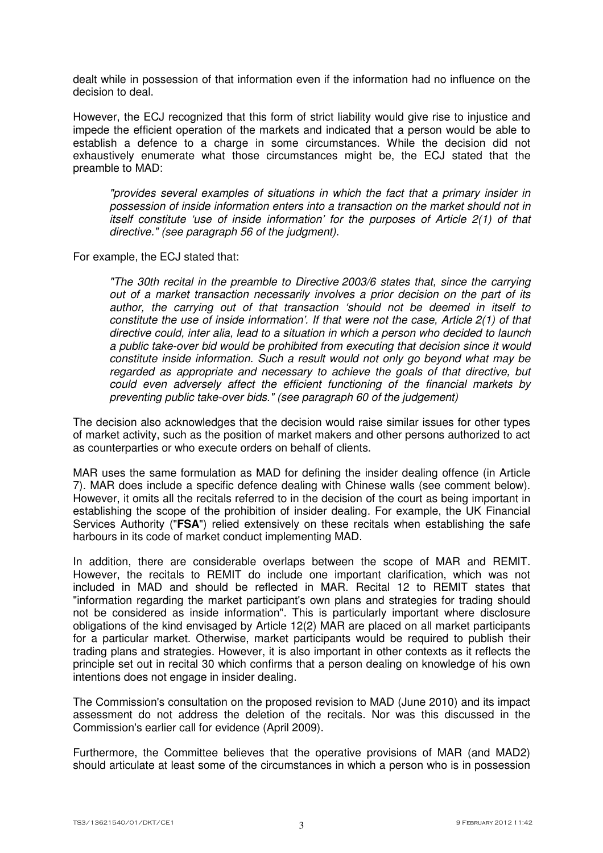dealt while in possession of that information even if the information had no influence on the decision to deal.

However, the ECJ recognized that this form of strict liability would give rise to injustice and impede the efficient operation of the markets and indicated that a person would be able to establish a defence to a charge in some circumstances. While the decision did not exhaustively enumerate what those circumstances might be, the ECJ stated that the preamble to MAD:

"provides several examples of situations in which the fact that a primary insider in possession of inside information enters into a transaction on the market should not in itself constitute 'use of inside information' for the purposes of Article 2(1) of that directive." (see paragraph 56 of the judgment).

For example, the ECJ stated that:

"The 30th recital in the preamble to Directive 2003/6 states that, since the carrying out of a market transaction necessarily involves a prior decision on the part of its author, the carrying out of that transaction 'should not be deemed in itself to constitute the use of inside information'. If that were not the case, Article 2(1) of that directive could, inter alia, lead to a situation in which a person who decided to launch a public take-over bid would be prohibited from executing that decision since it would constitute inside information. Such a result would not only go beyond what may be regarded as appropriate and necessary to achieve the goals of that directive, but could even adversely affect the efficient functioning of the financial markets by preventing public take-over bids." (see paragraph 60 of the judgement)

The decision also acknowledges that the decision would raise similar issues for other types of market activity, such as the position of market makers and other persons authorized to act as counterparties or who execute orders on behalf of clients.

MAR uses the same formulation as MAD for defining the insider dealing offence (in Article 7). MAR does include a specific defence dealing with Chinese walls (see comment below). However, it omits all the recitals referred to in the decision of the court as being important in establishing the scope of the prohibition of insider dealing. For example, the UK Financial Services Authority ("**FSA**") relied extensively on these recitals when establishing the safe harbours in its code of market conduct implementing MAD.

In addition, there are considerable overlaps between the scope of MAR and REMIT. However, the recitals to REMIT do include one important clarification, which was not included in MAD and should be reflected in MAR. Recital 12 to REMIT states that "information regarding the market participant's own plans and strategies for trading should not be considered as inside information". This is particularly important where disclosure obligations of the kind envisaged by Article 12(2) MAR are placed on all market participants for a particular market. Otherwise, market participants would be required to publish their trading plans and strategies. However, it is also important in other contexts as it reflects the principle set out in recital 30 which confirms that a person dealing on knowledge of his own intentions does not engage in insider dealing.

The Commission's consultation on the proposed revision to MAD (June 2010) and its impact assessment do not address the deletion of the recitals. Nor was this discussed in the Commission's earlier call for evidence (April 2009).

Furthermore, the Committee believes that the operative provisions of MAR (and MAD2) should articulate at least some of the circumstances in which a person who is in possession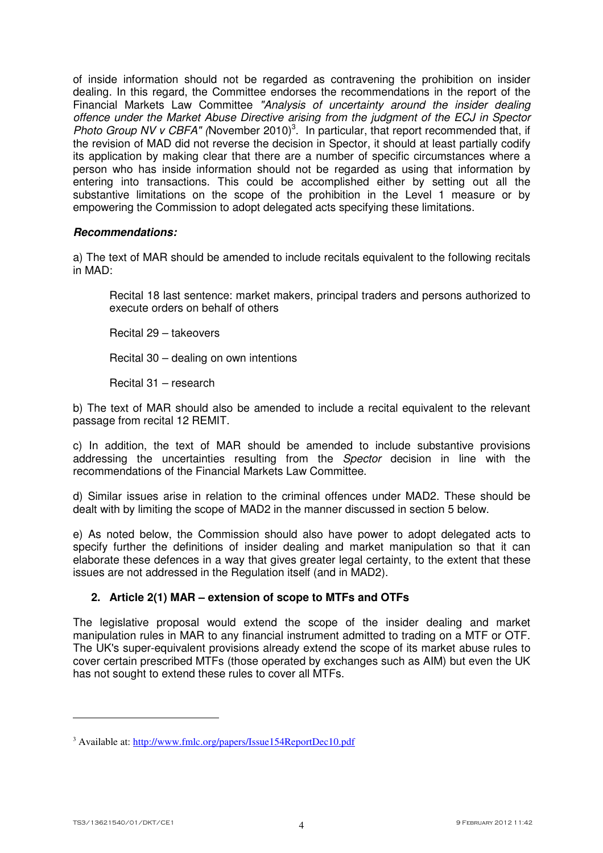of inside information should not be regarded as contravening the prohibition on insider dealing. In this regard, the Committee endorses the recommendations in the report of the Financial Markets Law Committee "Analysis of uncertainty around the insider dealing offence under the Market Abuse Directive arising from the judgment of the ECJ in Spector Photo Group NV v CBFA" (November 2010)<sup>3</sup>. In particular, that report recommended that, if the revision of MAD did not reverse the decision in Spector, it should at least partially codify its application by making clear that there are a number of specific circumstances where a person who has inside information should not be regarded as using that information by entering into transactions. This could be accomplished either by setting out all the substantive limitations on the scope of the prohibition in the Level 1 measure or by empowering the Commission to adopt delegated acts specifying these limitations.

### *Recommendations:*

a) The text of MAR should be amended to include recitals equivalent to the following recitals in MAD:

Recital 18 last sentence: market makers, principal traders and persons authorized to execute orders on behalf of others

Recital 29 – takeovers

Recital 30 – dealing on own intentions

Recital 31 – research

b) The text of MAR should also be amended to include a recital equivalent to the relevant passage from recital 12 REMIT.

c) In addition, the text of MAR should be amended to include substantive provisions addressing the uncertainties resulting from the Spector decision in line with the recommendations of the Financial Markets Law Committee.

d) Similar issues arise in relation to the criminal offences under MAD2. These should be dealt with by limiting the scope of MAD2 in the manner discussed in section 5 below.

e) As noted below, the Commission should also have power to adopt delegated acts to specify further the definitions of insider dealing and market manipulation so that it can elaborate these defences in a way that gives greater legal certainty, to the extent that these issues are not addressed in the Regulation itself (and in MAD2).

# **2. Article 2(1) MAR – extension of scope to MTFs and OTFs**

The legislative proposal would extend the scope of the insider dealing and market manipulation rules in MAR to any financial instrument admitted to trading on a MTF or OTF. The UK's super-equivalent provisions already extend the scope of its market abuse rules to cover certain prescribed MTFs (those operated by exchanges such as AIM) but even the UK has not sought to extend these rules to cover all MTFs.

<sup>&</sup>lt;sup>3</sup> Available at: http://www.fmlc.org/papers/Issue154ReportDec10.pdf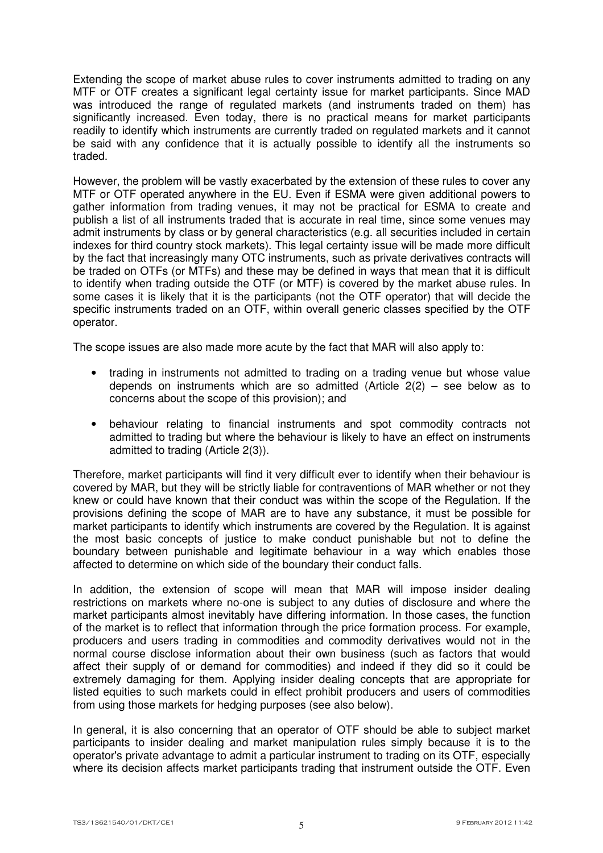Extending the scope of market abuse rules to cover instruments admitted to trading on any MTF or OTF creates a significant legal certainty issue for market participants. Since MAD was introduced the range of regulated markets (and instruments traded on them) has significantly increased. Even today, there is no practical means for market participants readily to identify which instruments are currently traded on regulated markets and it cannot be said with any confidence that it is actually possible to identify all the instruments so traded.

However, the problem will be vastly exacerbated by the extension of these rules to cover any MTF or OTF operated anywhere in the EU. Even if ESMA were given additional powers to gather information from trading venues, it may not be practical for ESMA to create and publish a list of all instruments traded that is accurate in real time, since some venues may admit instruments by class or by general characteristics (e.g. all securities included in certain indexes for third country stock markets). This legal certainty issue will be made more difficult by the fact that increasingly many OTC instruments, such as private derivatives contracts will be traded on OTFs (or MTFs) and these may be defined in ways that mean that it is difficult to identify when trading outside the OTF (or MTF) is covered by the market abuse rules. In some cases it is likely that it is the participants (not the OTF operator) that will decide the specific instruments traded on an OTF, within overall generic classes specified by the OTF operator.

The scope issues are also made more acute by the fact that MAR will also apply to:

- trading in instruments not admitted to trading on a trading venue but whose value depends on instruments which are so admitted (Article  $2(2)$  – see below as to concerns about the scope of this provision); and
- behaviour relating to financial instruments and spot commodity contracts not admitted to trading but where the behaviour is likely to have an effect on instruments admitted to trading (Article 2(3)).

Therefore, market participants will find it very difficult ever to identify when their behaviour is covered by MAR, but they will be strictly liable for contraventions of MAR whether or not they knew or could have known that their conduct was within the scope of the Regulation. If the provisions defining the scope of MAR are to have any substance, it must be possible for market participants to identify which instruments are covered by the Regulation. It is against the most basic concepts of justice to make conduct punishable but not to define the boundary between punishable and legitimate behaviour in a way which enables those affected to determine on which side of the boundary their conduct falls.

In addition, the extension of scope will mean that MAR will impose insider dealing restrictions on markets where no-one is subject to any duties of disclosure and where the market participants almost inevitably have differing information. In those cases, the function of the market is to reflect that information through the price formation process. For example, producers and users trading in commodities and commodity derivatives would not in the normal course disclose information about their own business (such as factors that would affect their supply of or demand for commodities) and indeed if they did so it could be extremely damaging for them. Applying insider dealing concepts that are appropriate for listed equities to such markets could in effect prohibit producers and users of commodities from using those markets for hedging purposes (see also below).

In general, it is also concerning that an operator of OTF should be able to subject market participants to insider dealing and market manipulation rules simply because it is to the operator's private advantage to admit a particular instrument to trading on its OTF, especially where its decision affects market participants trading that instrument outside the OTF. Even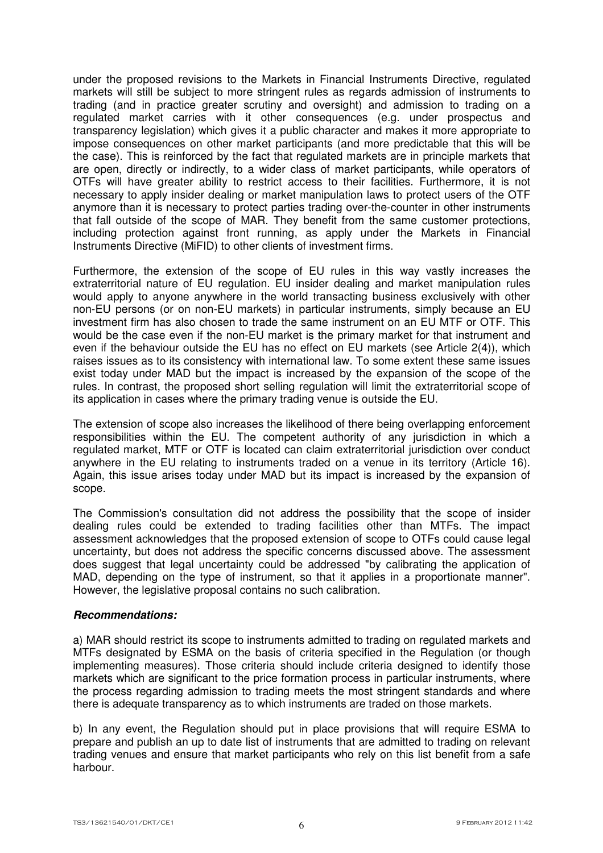under the proposed revisions to the Markets in Financial Instruments Directive, regulated markets will still be subject to more stringent rules as regards admission of instruments to trading (and in practice greater scrutiny and oversight) and admission to trading on a regulated market carries with it other consequences (e.g. under prospectus and transparency legislation) which gives it a public character and makes it more appropriate to impose consequences on other market participants (and more predictable that this will be the case). This is reinforced by the fact that regulated markets are in principle markets that are open, directly or indirectly, to a wider class of market participants, while operators of OTFs will have greater ability to restrict access to their facilities. Furthermore, it is not necessary to apply insider dealing or market manipulation laws to protect users of the OTF anymore than it is necessary to protect parties trading over-the-counter in other instruments that fall outside of the scope of MAR. They benefit from the same customer protections, including protection against front running, as apply under the Markets in Financial Instruments Directive (MiFID) to other clients of investment firms.

Furthermore, the extension of the scope of EU rules in this way vastly increases the extraterritorial nature of EU regulation. EU insider dealing and market manipulation rules would apply to anyone anywhere in the world transacting business exclusively with other non-EU persons (or on non-EU markets) in particular instruments, simply because an EU investment firm has also chosen to trade the same instrument on an EU MTF or OTF. This would be the case even if the non-EU market is the primary market for that instrument and even if the behaviour outside the EU has no effect on EU markets (see Article 2(4)), which raises issues as to its consistency with international law. To some extent these same issues exist today under MAD but the impact is increased by the expansion of the scope of the rules. In contrast, the proposed short selling regulation will limit the extraterritorial scope of its application in cases where the primary trading venue is outside the EU.

The extension of scope also increases the likelihood of there being overlapping enforcement responsibilities within the EU. The competent authority of any jurisdiction in which a regulated market, MTF or OTF is located can claim extraterritorial jurisdiction over conduct anywhere in the EU relating to instruments traded on a venue in its territory (Article 16). Again, this issue arises today under MAD but its impact is increased by the expansion of scope.

The Commission's consultation did not address the possibility that the scope of insider dealing rules could be extended to trading facilities other than MTFs. The impact assessment acknowledges that the proposed extension of scope to OTFs could cause legal uncertainty, but does not address the specific concerns discussed above. The assessment does suggest that legal uncertainty could be addressed "by calibrating the application of MAD, depending on the type of instrument, so that it applies in a proportionate manner". However, the legislative proposal contains no such calibration.

#### *Recommendations:*

a) MAR should restrict its scope to instruments admitted to trading on regulated markets and MTFs designated by ESMA on the basis of criteria specified in the Regulation (or though implementing measures). Those criteria should include criteria designed to identify those markets which are significant to the price formation process in particular instruments, where the process regarding admission to trading meets the most stringent standards and where there is adequate transparency as to which instruments are traded on those markets.

b) In any event, the Regulation should put in place provisions that will require ESMA to prepare and publish an up to date list of instruments that are admitted to trading on relevant trading venues and ensure that market participants who rely on this list benefit from a safe harbour.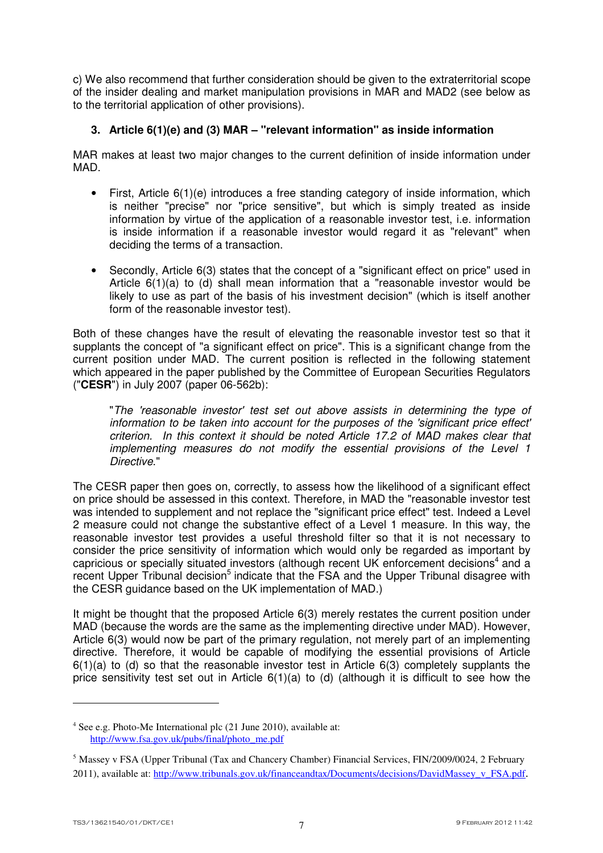c) We also recommend that further consideration should be given to the extraterritorial scope of the insider dealing and market manipulation provisions in MAR and MAD2 (see below as to the territorial application of other provisions).

# **3. Article 6(1)(e) and (3) MAR – "relevant information" as inside information**

MAR makes at least two major changes to the current definition of inside information under MAD.

- First, Article 6(1)(e) introduces a free standing category of inside information, which is neither "precise" nor "price sensitive", but which is simply treated as inside information by virtue of the application of a reasonable investor test, i.e. information is inside information if a reasonable investor would regard it as "relevant" when deciding the terms of a transaction.
- Secondly, Article 6(3) states that the concept of a "significant effect on price" used in Article 6(1)(a) to (d) shall mean information that a "reasonable investor would be likely to use as part of the basis of his investment decision" (which is itself another form of the reasonable investor test).

Both of these changes have the result of elevating the reasonable investor test so that it supplants the concept of "a significant effect on price". This is a significant change from the current position under MAD. The current position is reflected in the following statement which appeared in the paper published by the Committee of European Securities Regulators ("**CESR**") in July 2007 (paper 06-562b):

"The 'reasonable investor' test set out above assists in determining the type of information to be taken into account for the purposes of the 'significant price effect' criterion. In this context it should be noted Article 17.2 of MAD makes clear that implementing measures do not modify the essential provisions of the Level 1 Directive."

The CESR paper then goes on, correctly, to assess how the likelihood of a significant effect on price should be assessed in this context. Therefore, in MAD the "reasonable investor test was intended to supplement and not replace the "significant price effect" test. Indeed a Level 2 measure could not change the substantive effect of a Level 1 measure. In this way, the reasonable investor test provides a useful threshold filter so that it is not necessary to consider the price sensitivity of information which would only be regarded as important by capricious or specially situated investors (although recent UK enforcement decisions<sup>4</sup> and a recent Upper Tribunal decision<sup>5</sup> indicate that the FSA and the Upper Tribunal disagree with the CESR guidance based on the UK implementation of MAD.)

It might be thought that the proposed Article 6(3) merely restates the current position under MAD (because the words are the same as the implementing directive under MAD). However, Article 6(3) would now be part of the primary regulation, not merely part of an implementing directive. Therefore, it would be capable of modifying the essential provisions of Article  $6(1)(a)$  to (d) so that the reasonable investor test in Article  $6(3)$  completely supplants the price sensitivity test set out in Article 6(1)(a) to (d) (although it is difficult to see how the

<sup>4</sup> See e.g. Photo-Me International plc (21 June 2010), available at: http://www.fsa.gov.uk/pubs/final/photo\_me.pdf

<sup>5</sup> Massey v FSA (Upper Tribunal (Tax and Chancery Chamber) Financial Services, FIN/2009/0024, 2 February 2011), available at: http://www.tribunals.gov.uk/financeandtax/Documents/decisions/DavidMassey\_v\_FSA.pdf.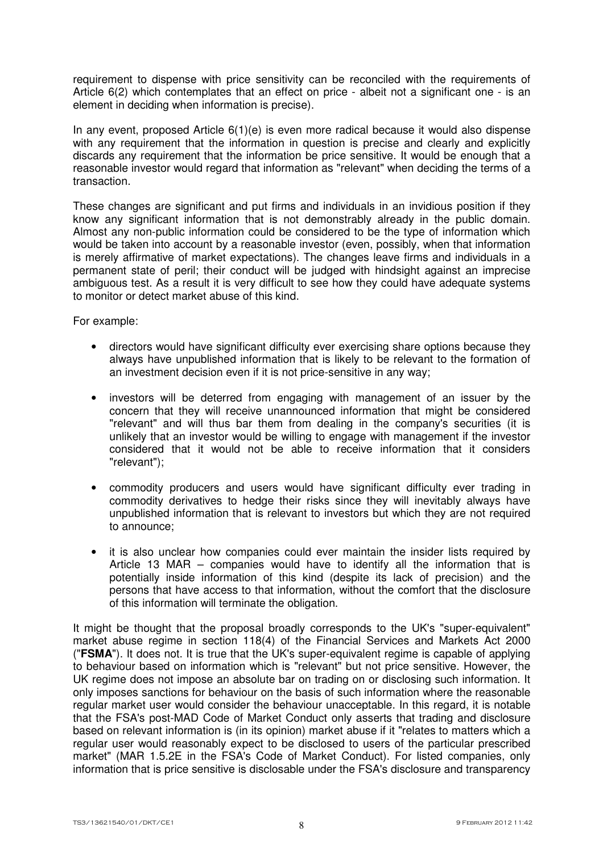requirement to dispense with price sensitivity can be reconciled with the requirements of Article 6(2) which contemplates that an effect on price - albeit not a significant one - is an element in deciding when information is precise).

In any event, proposed Article  $6(1)(e)$  is even more radical because it would also dispense with any requirement that the information in question is precise and clearly and explicitly discards any requirement that the information be price sensitive. It would be enough that a reasonable investor would regard that information as "relevant" when deciding the terms of a transaction.

These changes are significant and put firms and individuals in an invidious position if they know any significant information that is not demonstrably already in the public domain. Almost any non-public information could be considered to be the type of information which would be taken into account by a reasonable investor (even, possibly, when that information is merely affirmative of market expectations). The changes leave firms and individuals in a permanent state of peril; their conduct will be judged with hindsight against an imprecise ambiguous test. As a result it is very difficult to see how they could have adequate systems to monitor or detect market abuse of this kind.

For example:

- directors would have significant difficulty ever exercising share options because they always have unpublished information that is likely to be relevant to the formation of an investment decision even if it is not price-sensitive in any way;
- investors will be deterred from engaging with management of an issuer by the concern that they will receive unannounced information that might be considered "relevant" and will thus bar them from dealing in the company's securities (it is unlikely that an investor would be willing to engage with management if the investor considered that it would not be able to receive information that it considers "relevant");
- commodity producers and users would have significant difficulty ever trading in commodity derivatives to hedge their risks since they will inevitably always have unpublished information that is relevant to investors but which they are not required to announce;
- it is also unclear how companies could ever maintain the insider lists required by Article 13 MAR – companies would have to identify all the information that is potentially inside information of this kind (despite its lack of precision) and the persons that have access to that information, without the comfort that the disclosure of this information will terminate the obligation.

It might be thought that the proposal broadly corresponds to the UK's "super-equivalent" market abuse regime in section 118(4) of the Financial Services and Markets Act 2000 ("**FSMA**"). It does not. It is true that the UK's super-equivalent regime is capable of applying to behaviour based on information which is "relevant" but not price sensitive. However, the UK regime does not impose an absolute bar on trading on or disclosing such information. It only imposes sanctions for behaviour on the basis of such information where the reasonable regular market user would consider the behaviour unacceptable. In this regard, it is notable that the FSA's post-MAD Code of Market Conduct only asserts that trading and disclosure based on relevant information is (in its opinion) market abuse if it "relates to matters which a regular user would reasonably expect to be disclosed to users of the particular prescribed market" (MAR 1.5.2E in the FSA's Code of Market Conduct). For listed companies, only information that is price sensitive is disclosable under the FSA's disclosure and transparency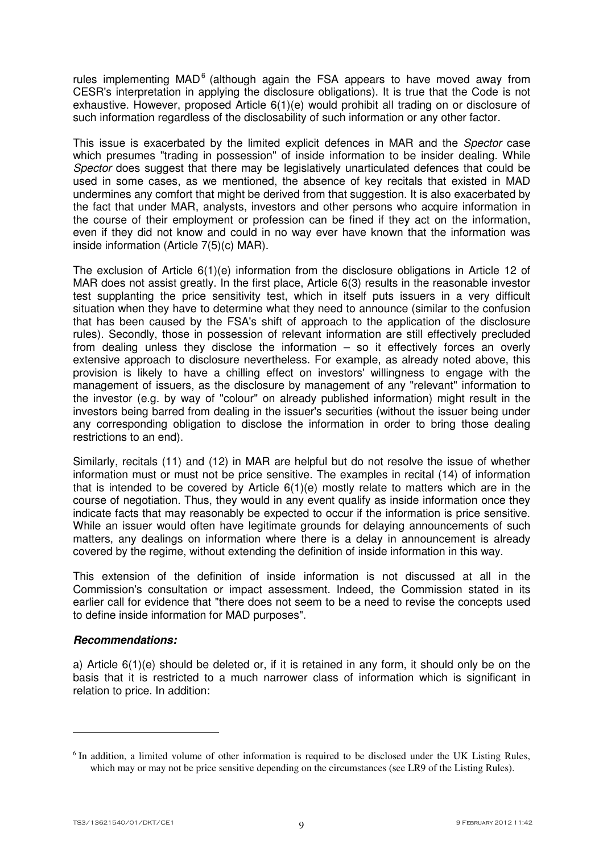rules implementing MAD $<sup>6</sup>$  (although again the FSA appears to have moved away from</sup> CESR's interpretation in applying the disclosure obligations). It is true that the Code is not exhaustive. However, proposed Article 6(1)(e) would prohibit all trading on or disclosure of such information regardless of the disclosability of such information or any other factor.

This issue is exacerbated by the limited explicit defences in MAR and the *Spector* case which presumes "trading in possession" of inside information to be insider dealing. While Spector does suggest that there may be legislatively unarticulated defences that could be used in some cases, as we mentioned, the absence of key recitals that existed in MAD undermines any comfort that might be derived from that suggestion. It is also exacerbated by the fact that under MAR, analysts, investors and other persons who acquire information in the course of their employment or profession can be fined if they act on the information, even if they did not know and could in no way ever have known that the information was inside information (Article 7(5)(c) MAR).

The exclusion of Article 6(1)(e) information from the disclosure obligations in Article 12 of MAR does not assist greatly. In the first place, Article 6(3) results in the reasonable investor test supplanting the price sensitivity test, which in itself puts issuers in a very difficult situation when they have to determine what they need to announce (similar to the confusion that has been caused by the FSA's shift of approach to the application of the disclosure rules). Secondly, those in possession of relevant information are still effectively precluded from dealing unless they disclose the information – so it effectively forces an overly extensive approach to disclosure nevertheless. For example, as already noted above, this provision is likely to have a chilling effect on investors' willingness to engage with the management of issuers, as the disclosure by management of any "relevant" information to the investor (e.g. by way of "colour" on already published information) might result in the investors being barred from dealing in the issuer's securities (without the issuer being under any corresponding obligation to disclose the information in order to bring those dealing restrictions to an end).

Similarly, recitals (11) and (12) in MAR are helpful but do not resolve the issue of whether information must or must not be price sensitive. The examples in recital (14) of information that is intended to be covered by Article  $6(1)(e)$  mostly relate to matters which are in the course of negotiation. Thus, they would in any event qualify as inside information once they indicate facts that may reasonably be expected to occur if the information is price sensitive. While an issuer would often have legitimate grounds for delaying announcements of such matters, any dealings on information where there is a delay in announcement is already covered by the regime, without extending the definition of inside information in this way.

This extension of the definition of inside information is not discussed at all in the Commission's consultation or impact assessment. Indeed, the Commission stated in its earlier call for evidence that "there does not seem to be a need to revise the concepts used to define inside information for MAD purposes".

# *Recommendations:*

a) Article 6(1)(e) should be deleted or, if it is retained in any form, it should only be on the basis that it is restricted to a much narrower class of information which is significant in relation to price. In addition:

<sup>&</sup>lt;sup>6</sup> In addition, a limited volume of other information is required to be disclosed under the UK Listing Rules, which may or may not be price sensitive depending on the circumstances (see LR9 of the Listing Rules).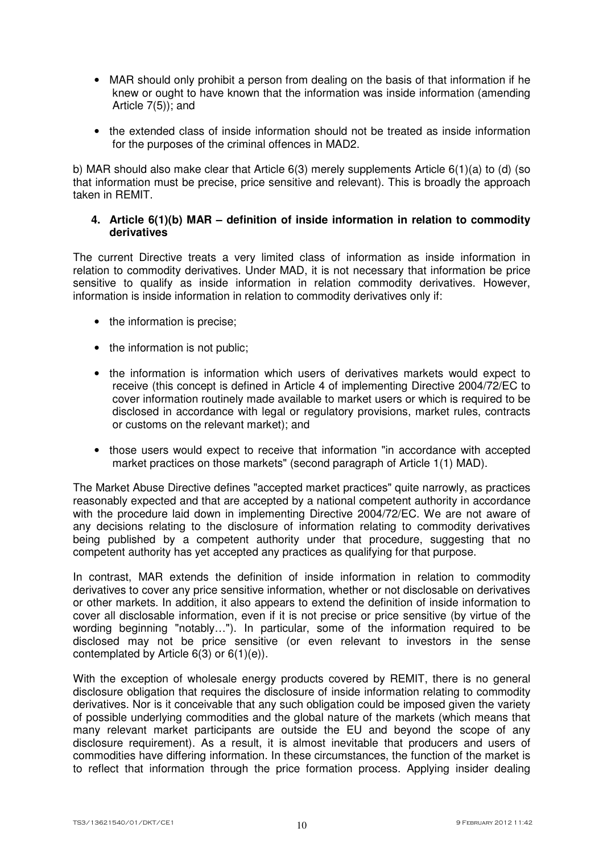- MAR should only prohibit a person from dealing on the basis of that information if he knew or ought to have known that the information was inside information (amending Article 7(5)); and
- the extended class of inside information should not be treated as inside information for the purposes of the criminal offences in MAD2.

b) MAR should also make clear that Article 6(3) merely supplements Article 6(1)(a) to (d) (so that information must be precise, price sensitive and relevant). This is broadly the approach taken in REMIT.

### **4. Article 6(1)(b) MAR – definition of inside information in relation to commodity derivatives**

The current Directive treats a very limited class of information as inside information in relation to commodity derivatives. Under MAD, it is not necessary that information be price sensitive to qualify as inside information in relation commodity derivatives. However, information is inside information in relation to commodity derivatives only if:

- the information is precise;
- the information is not public;
- the information is information which users of derivatives markets would expect to receive (this concept is defined in Article 4 of implementing Directive 2004/72/EC to cover information routinely made available to market users or which is required to be disclosed in accordance with legal or regulatory provisions, market rules, contracts or customs on the relevant market); and
- those users would expect to receive that information "in accordance with accepted market practices on those markets" (second paragraph of Article 1(1) MAD).

The Market Abuse Directive defines "accepted market practices" quite narrowly, as practices reasonably expected and that are accepted by a national competent authority in accordance with the procedure laid down in implementing Directive 2004/72/EC. We are not aware of any decisions relating to the disclosure of information relating to commodity derivatives being published by a competent authority under that procedure, suggesting that no competent authority has yet accepted any practices as qualifying for that purpose.

In contrast, MAR extends the definition of inside information in relation to commodity derivatives to cover any price sensitive information, whether or not disclosable on derivatives or other markets. In addition, it also appears to extend the definition of inside information to cover all disclosable information, even if it is not precise or price sensitive (by virtue of the wording beginning "notably…"). In particular, some of the information required to be disclosed may not be price sensitive (or even relevant to investors in the sense contemplated by Article 6(3) or 6(1)(e)).

With the exception of wholesale energy products covered by REMIT, there is no general disclosure obligation that requires the disclosure of inside information relating to commodity derivatives. Nor is it conceivable that any such obligation could be imposed given the variety of possible underlying commodities and the global nature of the markets (which means that many relevant market participants are outside the EU and beyond the scope of any disclosure requirement). As a result, it is almost inevitable that producers and users of commodities have differing information. In these circumstances, the function of the market is to reflect that information through the price formation process. Applying insider dealing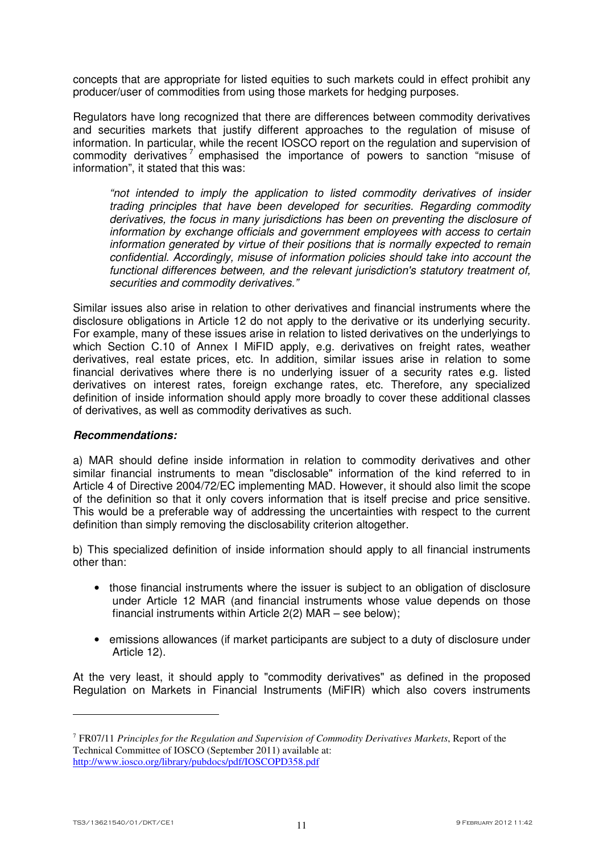concepts that are appropriate for listed equities to such markets could in effect prohibit any producer/user of commodities from using those markets for hedging purposes.

Regulators have long recognized that there are differences between commodity derivatives and securities markets that justify different approaches to the regulation of misuse of information. In particular, while the recent IOSCO report on the regulation and supervision of commodity derivatives<sup>7</sup> emphasised the importance of powers to sanction "misuse of information", it stated that this was:

"not intended to imply the application to listed commodity derivatives of insider trading principles that have been developed for securities. Regarding commodity derivatives, the focus in many jurisdictions has been on preventing the disclosure of information by exchange officials and government employees with access to certain information generated by virtue of their positions that is normally expected to remain confidential. Accordingly, misuse of information policies should take into account the functional differences between, and the relevant jurisdiction's statutory treatment of, securities and commodity derivatives."

Similar issues also arise in relation to other derivatives and financial instruments where the disclosure obligations in Article 12 do not apply to the derivative or its underlying security. For example, many of these issues arise in relation to listed derivatives on the underlyings to which Section C.10 of Annex I MiFID apply, e.g. derivatives on freight rates, weather derivatives, real estate prices, etc. In addition, similar issues arise in relation to some financial derivatives where there is no underlying issuer of a security rates e.g. listed derivatives on interest rates, foreign exchange rates, etc. Therefore, any specialized definition of inside information should apply more broadly to cover these additional classes of derivatives, as well as commodity derivatives as such.

#### *Recommendations:*

a) MAR should define inside information in relation to commodity derivatives and other similar financial instruments to mean "disclosable" information of the kind referred to in Article 4 of Directive 2004/72/EC implementing MAD. However, it should also limit the scope of the definition so that it only covers information that is itself precise and price sensitive. This would be a preferable way of addressing the uncertainties with respect to the current definition than simply removing the disclosability criterion altogether.

b) This specialized definition of inside information should apply to all financial instruments other than:

- those financial instruments where the issuer is subject to an obligation of disclosure under Article 12 MAR (and financial instruments whose value depends on those financial instruments within Article 2(2) MAR – see below);
- emissions allowances (if market participants are subject to a duty of disclosure under Article 12).

At the very least, it should apply to "commodity derivatives" as defined in the proposed Regulation on Markets in Financial Instruments (MiFIR) which also covers instruments

<sup>7</sup> FR07/11 *Principles for the Regulation and Supervision of Commodity Derivatives Markets*, Report of the Technical Committee of IOSCO (September 2011) available at: http://www.iosco.org/library/pubdocs/pdf/IOSCOPD358.pdf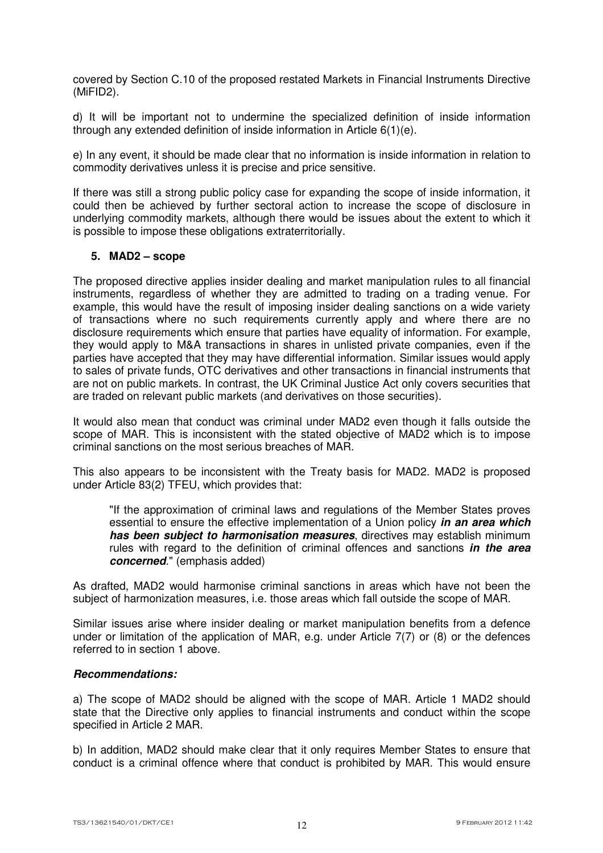covered by Section C.10 of the proposed restated Markets in Financial Instruments Directive (MiFID2).

d) It will be important not to undermine the specialized definition of inside information through any extended definition of inside information in Article 6(1)(e).

e) In any event, it should be made clear that no information is inside information in relation to commodity derivatives unless it is precise and price sensitive.

If there was still a strong public policy case for expanding the scope of inside information, it could then be achieved by further sectoral action to increase the scope of disclosure in underlying commodity markets, although there would be issues about the extent to which it is possible to impose these obligations extraterritorially.

### **5. MAD2 – scope**

The proposed directive applies insider dealing and market manipulation rules to all financial instruments, regardless of whether they are admitted to trading on a trading venue. For example, this would have the result of imposing insider dealing sanctions on a wide variety of transactions where no such requirements currently apply and where there are no disclosure requirements which ensure that parties have equality of information. For example, they would apply to M&A transactions in shares in unlisted private companies, even if the parties have accepted that they may have differential information. Similar issues would apply to sales of private funds, OTC derivatives and other transactions in financial instruments that are not on public markets. In contrast, the UK Criminal Justice Act only covers securities that are traded on relevant public markets (and derivatives on those securities).

It would also mean that conduct was criminal under MAD2 even though it falls outside the scope of MAR. This is inconsistent with the stated objective of MAD2 which is to impose criminal sanctions on the most serious breaches of MAR.

This also appears to be inconsistent with the Treaty basis for MAD2. MAD2 is proposed under Article 83(2) TFEU, which provides that:

"If the approximation of criminal laws and regulations of the Member States proves essential to ensure the effective implementation of a Union policy *in an area which has been subject to harmonisation measures*, directives may establish minimum rules with regard to the definition of criminal offences and sanctions *in the area concerned*." (emphasis added)

As drafted, MAD2 would harmonise criminal sanctions in areas which have not been the subject of harmonization measures, i.e. those areas which fall outside the scope of MAR.

Similar issues arise where insider dealing or market manipulation benefits from a defence under or limitation of the application of MAR, e.g. under Article 7(7) or (8) or the defences referred to in section 1 above.

#### *Recommendations:*

a) The scope of MAD2 should be aligned with the scope of MAR. Article 1 MAD2 should state that the Directive only applies to financial instruments and conduct within the scope specified in Article 2 MAR.

b) In addition, MAD2 should make clear that it only requires Member States to ensure that conduct is a criminal offence where that conduct is prohibited by MAR. This would ensure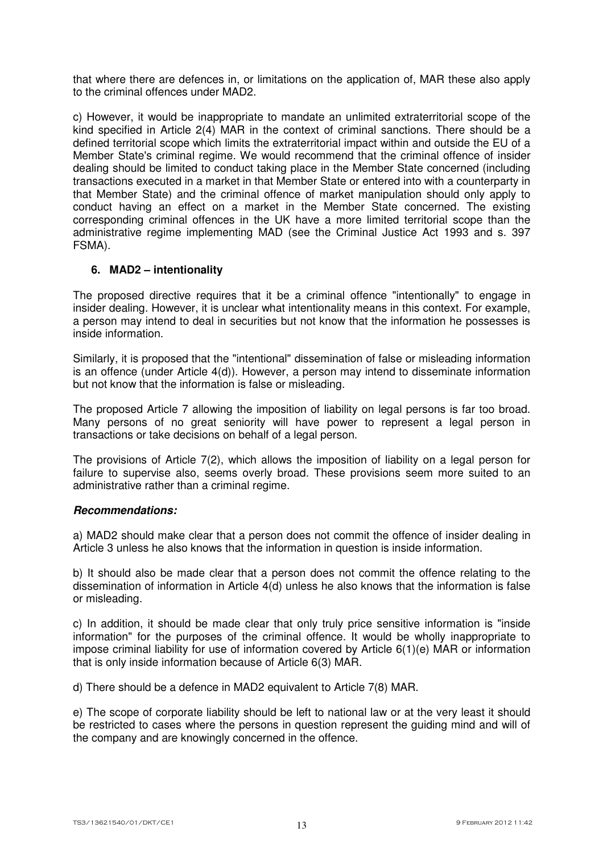that where there are defences in, or limitations on the application of, MAR these also apply to the criminal offences under MAD2.

c) However, it would be inappropriate to mandate an unlimited extraterritorial scope of the kind specified in Article 2(4) MAR in the context of criminal sanctions. There should be a defined territorial scope which limits the extraterritorial impact within and outside the EU of a Member State's criminal regime. We would recommend that the criminal offence of insider dealing should be limited to conduct taking place in the Member State concerned (including transactions executed in a market in that Member State or entered into with a counterparty in that Member State) and the criminal offence of market manipulation should only apply to conduct having an effect on a market in the Member State concerned. The existing corresponding criminal offences in the UK have a more limited territorial scope than the administrative regime implementing MAD (see the Criminal Justice Act 1993 and s. 397 FSMA).

# **6. MAD2 – intentionality**

The proposed directive requires that it be a criminal offence "intentionally" to engage in insider dealing. However, it is unclear what intentionality means in this context. For example, a person may intend to deal in securities but not know that the information he possesses is inside information.

Similarly, it is proposed that the "intentional" dissemination of false or misleading information is an offence (under Article 4(d)). However, a person may intend to disseminate information but not know that the information is false or misleading.

The proposed Article 7 allowing the imposition of liability on legal persons is far too broad. Many persons of no great seniority will have power to represent a legal person in transactions or take decisions on behalf of a legal person.

The provisions of Article 7(2), which allows the imposition of liability on a legal person for failure to supervise also, seems overly broad. These provisions seem more suited to an administrative rather than a criminal regime.

#### *Recommendations:*

a) MAD2 should make clear that a person does not commit the offence of insider dealing in Article 3 unless he also knows that the information in question is inside information.

b) It should also be made clear that a person does not commit the offence relating to the dissemination of information in Article 4(d) unless he also knows that the information is false or misleading.

c) In addition, it should be made clear that only truly price sensitive information is "inside information" for the purposes of the criminal offence. It would be wholly inappropriate to impose criminal liability for use of information covered by Article 6(1)(e) MAR or information that is only inside information because of Article 6(3) MAR.

d) There should be a defence in MAD2 equivalent to Article 7(8) MAR.

e) The scope of corporate liability should be left to national law or at the very least it should be restricted to cases where the persons in question represent the guiding mind and will of the company and are knowingly concerned in the offence.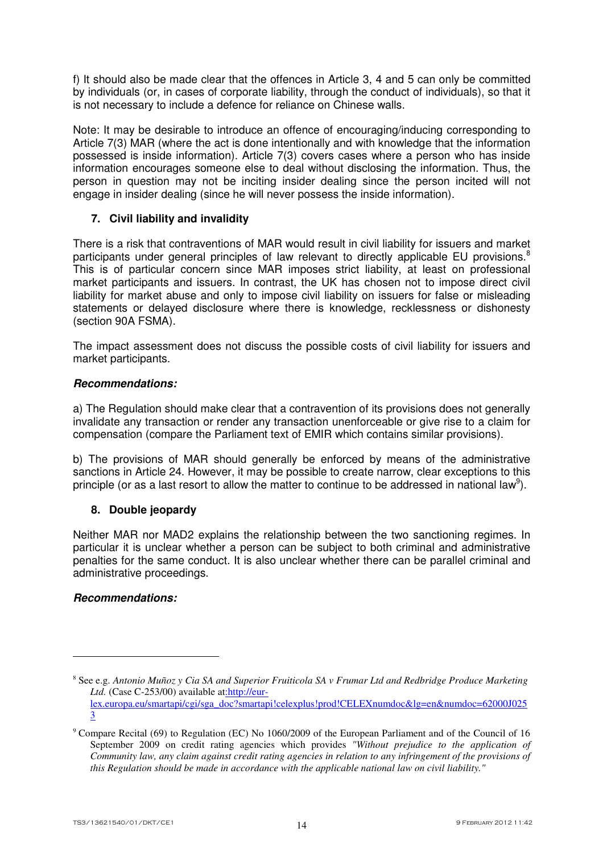f) It should also be made clear that the offences in Article 3, 4 and 5 can only be committed by individuals (or, in cases of corporate liability, through the conduct of individuals), so that it is not necessary to include a defence for reliance on Chinese walls.

Note: It may be desirable to introduce an offence of encouraging/inducing corresponding to Article 7(3) MAR (where the act is done intentionally and with knowledge that the information possessed is inside information). Article 7(3) covers cases where a person who has inside information encourages someone else to deal without disclosing the information. Thus, the person in question may not be inciting insider dealing since the person incited will not engage in insider dealing (since he will never possess the inside information).

# **7. Civil liability and invalidity**

There is a risk that contraventions of MAR would result in civil liability for issuers and market participants under general principles of law relevant to directly applicable EU provisions.<sup>8</sup> This is of particular concern since MAR imposes strict liability, at least on professional market participants and issuers. In contrast, the UK has chosen not to impose direct civil liability for market abuse and only to impose civil liability on issuers for false or misleading statements or delayed disclosure where there is knowledge, recklessness or dishonesty (section 90A FSMA).

The impact assessment does not discuss the possible costs of civil liability for issuers and market participants.

# *Recommendations:*

a) The Regulation should make clear that a contravention of its provisions does not generally invalidate any transaction or render any transaction unenforceable or give rise to a claim for compensation (compare the Parliament text of EMIR which contains similar provisions).

b) The provisions of MAR should generally be enforced by means of the administrative sanctions in Article 24. However, it may be possible to create narrow, clear exceptions to this principle (or as a last resort to allow the matter to continue to be addressed in national law<sup>9</sup>).

# **8. Double jeopardy**

Neither MAR nor MAD2 explains the relationship between the two sanctioning regimes. In particular it is unclear whether a person can be subject to both criminal and administrative penalties for the same conduct. It is also unclear whether there can be parallel criminal and administrative proceedings.

# *Recommendations:*

<sup>8</sup> See e.g. *Antonio Muñoz y Cia SA and Superior Fruiticola SA v Frumar Ltd and Redbridge Produce Marketing Ltd.* (Case C-253/00) available at:http://eurlex.europa.eu/smartapi/cgi/sga\_doc?smartapi!celexplus!prod!CELEXnumdoc&lg=en&numdoc=62000J025 3

<sup>&</sup>lt;sup>9</sup> Compare Recital (69) to Regulation (EC) No 1060/2009 of the European Parliament and of the Council of 16 September 2009 on credit rating agencies which provides *"Without prejudice to the application of Community law, any claim against credit rating agencies in relation to any infringement of the provisions of this Regulation should be made in accordance with the applicable national law on civil liability."*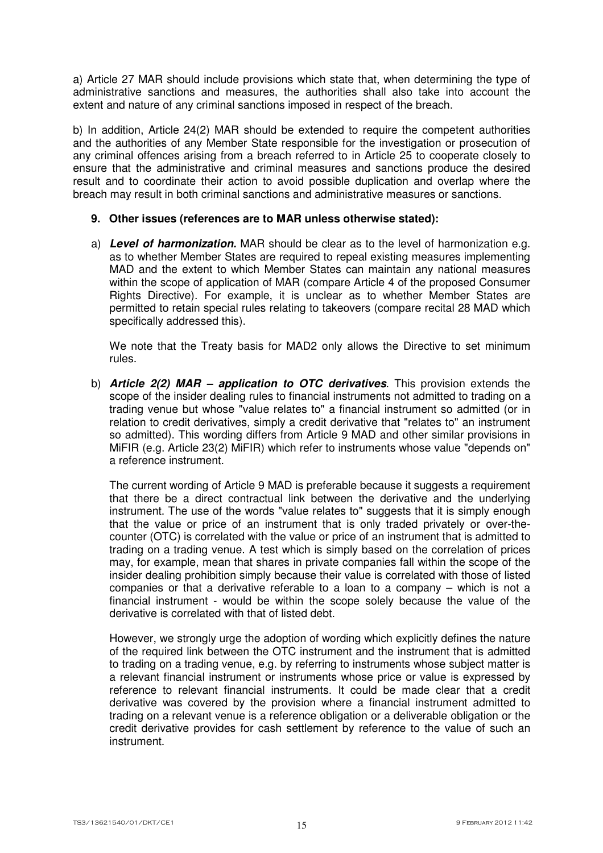a) Article 27 MAR should include provisions which state that, when determining the type of administrative sanctions and measures, the authorities shall also take into account the extent and nature of any criminal sanctions imposed in respect of the breach.

b) In addition, Article 24(2) MAR should be extended to require the competent authorities and the authorities of any Member State responsible for the investigation or prosecution of any criminal offences arising from a breach referred to in Article 25 to cooperate closely to ensure that the administrative and criminal measures and sanctions produce the desired result and to coordinate their action to avoid possible duplication and overlap where the breach may result in both criminal sanctions and administrative measures or sanctions.

### **9. Other issues (references are to MAR unless otherwise stated):**

a) *Level of harmonization.* MAR should be clear as to the level of harmonization e.g. as to whether Member States are required to repeal existing measures implementing MAD and the extent to which Member States can maintain any national measures within the scope of application of MAR (compare Article 4 of the proposed Consumer Rights Directive). For example, it is unclear as to whether Member States are permitted to retain special rules relating to takeovers (compare recital 28 MAD which specifically addressed this).

We note that the Treaty basis for MAD2 only allows the Directive to set minimum rules.

b) *Article 2(2) MAR – application to OTC derivatives*. This provision extends the scope of the insider dealing rules to financial instruments not admitted to trading on a trading venue but whose "value relates to" a financial instrument so admitted (or in relation to credit derivatives, simply a credit derivative that "relates to" an instrument so admitted). This wording differs from Article 9 MAD and other similar provisions in MiFIR (e.g. Article 23(2) MiFIR) which refer to instruments whose value "depends on" a reference instrument.

The current wording of Article 9 MAD is preferable because it suggests a requirement that there be a direct contractual link between the derivative and the underlying instrument. The use of the words "value relates to" suggests that it is simply enough that the value or price of an instrument that is only traded privately or over-thecounter (OTC) is correlated with the value or price of an instrument that is admitted to trading on a trading venue. A test which is simply based on the correlation of prices may, for example, mean that shares in private companies fall within the scope of the insider dealing prohibition simply because their value is correlated with those of listed companies or that a derivative referable to a loan to a company – which is not a financial instrument - would be within the scope solely because the value of the derivative is correlated with that of listed debt.

However, we strongly urge the adoption of wording which explicitly defines the nature of the required link between the OTC instrument and the instrument that is admitted to trading on a trading venue, e.g. by referring to instruments whose subject matter is a relevant financial instrument or instruments whose price or value is expressed by reference to relevant financial instruments. It could be made clear that a credit derivative was covered by the provision where a financial instrument admitted to trading on a relevant venue is a reference obligation or a deliverable obligation or the credit derivative provides for cash settlement by reference to the value of such an instrument.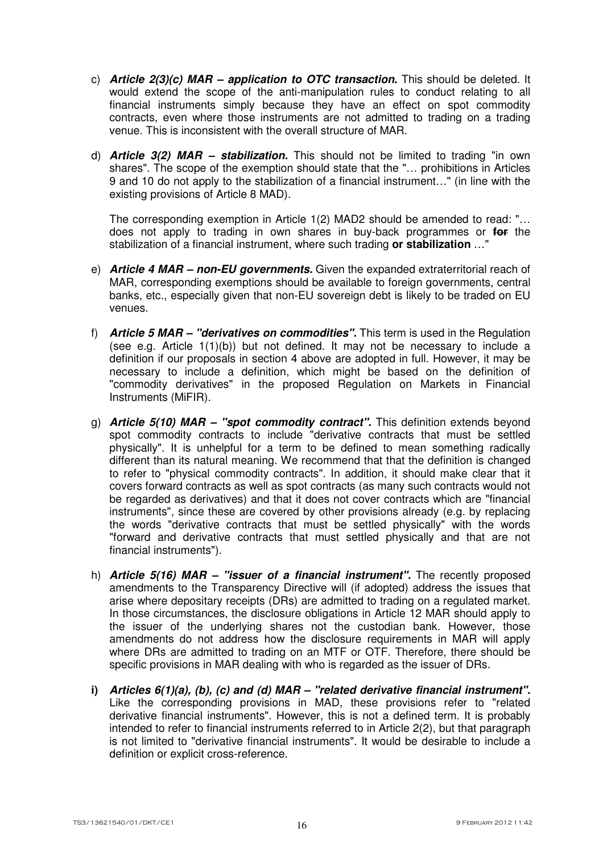- c) *Article 2(3)(c) MAR application to OTC transaction.* This should be deleted. It would extend the scope of the anti-manipulation rules to conduct relating to all financial instruments simply because they have an effect on spot commodity contracts, even where those instruments are not admitted to trading on a trading venue. This is inconsistent with the overall structure of MAR.
- d) *Article 3(2) MAR stabilization.* This should not be limited to trading "in own shares". The scope of the exemption should state that the "… prohibitions in Articles 9 and 10 do not apply to the stabilization of a financial instrument…" (in line with the existing provisions of Article 8 MAD).

The corresponding exemption in Article 1(2) MAD2 should be amended to read: "… does not apply to trading in own shares in buy-back programmes or **for** the stabilization of a financial instrument, where such trading **or stabilization** …"

- e) *Article 4 MAR non-EU governments.* Given the expanded extraterritorial reach of MAR, corresponding exemptions should be available to foreign governments, central banks, etc., especially given that non-EU sovereign debt is likely to be traded on EU venues.
- f) *Article 5 MAR "derivatives on commodities".* This term is used in the Regulation (see e.g. Article 1(1)(b)) but not defined. It may not be necessary to include a definition if our proposals in section 4 above are adopted in full. However, it may be necessary to include a definition, which might be based on the definition of "commodity derivatives" in the proposed Regulation on Markets in Financial Instruments (MiFIR).
- g) *Article 5(10) MAR "spot commodity contract".* This definition extends beyond spot commodity contracts to include "derivative contracts that must be settled physically". It is unhelpful for a term to be defined to mean something radically different than its natural meaning. We recommend that that the definition is changed to refer to "physical commodity contracts". In addition, it should make clear that it covers forward contracts as well as spot contracts (as many such contracts would not be regarded as derivatives) and that it does not cover contracts which are "financial instruments", since these are covered by other provisions already (e.g. by replacing the words "derivative contracts that must be settled physically" with the words "forward and derivative contracts that must settled physically and that are not financial instruments").
- h) *Article 5(16) MAR "issuer of a financial instrument".* The recently proposed amendments to the Transparency Directive will (if adopted) address the issues that arise where depositary receipts (DRs) are admitted to trading on a regulated market. In those circumstances, the disclosure obligations in Article 12 MAR should apply to the issuer of the underlying shares not the custodian bank. However, those amendments do not address how the disclosure requirements in MAR will apply where DRs are admitted to trading on an MTF or OTF. Therefore, there should be specific provisions in MAR dealing with who is regarded as the issuer of DRs.
- **i)** *Articles 6(1)(a), (b), (c) and (d) MAR "related derivative financial instrument".* Like the corresponding provisions in MAD, these provisions refer to "related derivative financial instruments". However, this is not a defined term. It is probably intended to refer to financial instruments referred to in Article 2(2), but that paragraph is not limited to "derivative financial instruments". It would be desirable to include a definition or explicit cross-reference.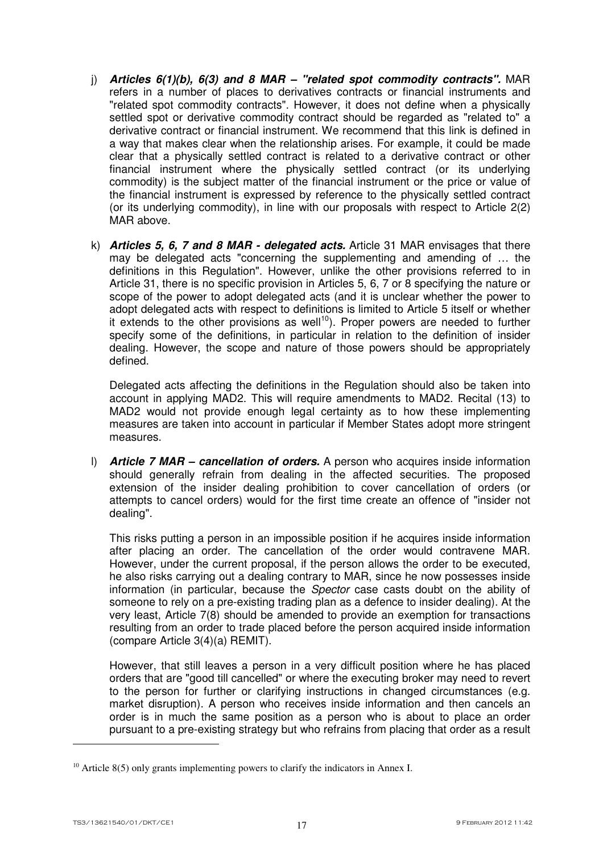- j) *Articles 6(1)(b), 6(3) and 8 MAR "related spot commodity contracts".* MAR refers in a number of places to derivatives contracts or financial instruments and "related spot commodity contracts". However, it does not define when a physically settled spot or derivative commodity contract should be regarded as "related to" a derivative contract or financial instrument. We recommend that this link is defined in a way that makes clear when the relationship arises. For example, it could be made clear that a physically settled contract is related to a derivative contract or other financial instrument where the physically settled contract (or its underlying commodity) is the subject matter of the financial instrument or the price or value of the financial instrument is expressed by reference to the physically settled contract (or its underlying commodity), in line with our proposals with respect to Article 2(2) MAR above.
- k) *Articles 5, 6, 7 and 8 MAR delegated acts.* Article 31 MAR envisages that there may be delegated acts "concerning the supplementing and amending of … the definitions in this Regulation". However, unlike the other provisions referred to in Article 31, there is no specific provision in Articles 5, 6, 7 or 8 specifying the nature or scope of the power to adopt delegated acts (and it is unclear whether the power to adopt delegated acts with respect to definitions is limited to Article 5 itself or whether it extends to the other provisions as well<sup>10</sup>). Proper powers are needed to further specify some of the definitions, in particular in relation to the definition of insider dealing. However, the scope and nature of those powers should be appropriately defined.

Delegated acts affecting the definitions in the Regulation should also be taken into account in applying MAD2. This will require amendments to MAD2. Recital (13) to MAD2 would not provide enough legal certainty as to how these implementing measures are taken into account in particular if Member States adopt more stringent measures.

l) *Article 7 MAR – cancellation of orders.* A person who acquires inside information should generally refrain from dealing in the affected securities. The proposed extension of the insider dealing prohibition to cover cancellation of orders (or attempts to cancel orders) would for the first time create an offence of "insider not dealing".

This risks putting a person in an impossible position if he acquires inside information after placing an order. The cancellation of the order would contravene MAR. However, under the current proposal, if the person allows the order to be executed, he also risks carrying out a dealing contrary to MAR, since he now possesses inside information (in particular, because the Spector case casts doubt on the ability of someone to rely on a pre-existing trading plan as a defence to insider dealing). At the very least, Article 7(8) should be amended to provide an exemption for transactions resulting from an order to trade placed before the person acquired inside information (compare Article 3(4)(a) REMIT).

However, that still leaves a person in a very difficult position where he has placed orders that are "good till cancelled" or where the executing broker may need to revert to the person for further or clarifying instructions in changed circumstances (e.g. market disruption). A person who receives inside information and then cancels an order is in much the same position as a person who is about to place an order pursuant to a pre-existing strategy but who refrains from placing that order as a result

<sup>&</sup>lt;sup>10</sup> Article 8(5) only grants implementing powers to clarify the indicators in Annex I.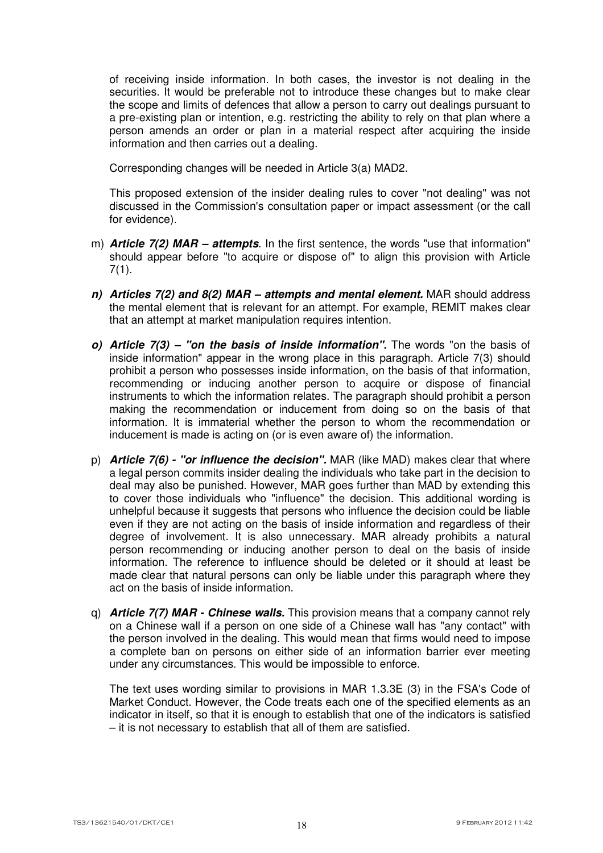of receiving inside information. In both cases, the investor is not dealing in the securities. It would be preferable not to introduce these changes but to make clear the scope and limits of defences that allow a person to carry out dealings pursuant to a pre-existing plan or intention, e.g. restricting the ability to rely on that plan where a person amends an order or plan in a material respect after acquiring the inside information and then carries out a dealing.

Corresponding changes will be needed in Article 3(a) MAD2.

This proposed extension of the insider dealing rules to cover "not dealing" was not discussed in the Commission's consultation paper or impact assessment (or the call for evidence).

- m) *Article 7(2) MAR attempts*. In the first sentence, the words "use that information" should appear before "to acquire or dispose of" to align this provision with Article 7(1).
- *n) Articles 7(2) and 8(2) MAR attempts and mental element.* MAR should address the mental element that is relevant for an attempt. For example, REMIT makes clear that an attempt at market manipulation requires intention.
- *o) Article 7(3) "on the basis of inside information".* The words "on the basis of inside information" appear in the wrong place in this paragraph. Article 7(3) should prohibit a person who possesses inside information, on the basis of that information, recommending or inducing another person to acquire or dispose of financial instruments to which the information relates. The paragraph should prohibit a person making the recommendation or inducement from doing so on the basis of that information. It is immaterial whether the person to whom the recommendation or inducement is made is acting on (or is even aware of) the information.
- p) *Article 7(6) "or influence the decision".* MAR (like MAD) makes clear that where a legal person commits insider dealing the individuals who take part in the decision to deal may also be punished. However, MAR goes further than MAD by extending this to cover those individuals who "influence" the decision. This additional wording is unhelpful because it suggests that persons who influence the decision could be liable even if they are not acting on the basis of inside information and regardless of their degree of involvement. It is also unnecessary. MAR already prohibits a natural person recommending or inducing another person to deal on the basis of inside information. The reference to influence should be deleted or it should at least be made clear that natural persons can only be liable under this paragraph where they act on the basis of inside information.
- q) *Article 7(7) MAR Chinese walls.* This provision means that a company cannot rely on a Chinese wall if a person on one side of a Chinese wall has "any contact" with the person involved in the dealing. This would mean that firms would need to impose a complete ban on persons on either side of an information barrier ever meeting under any circumstances. This would be impossible to enforce.

The text uses wording similar to provisions in MAR 1.3.3E (3) in the FSA's Code of Market Conduct. However, the Code treats each one of the specified elements as an indicator in itself, so that it is enough to establish that one of the indicators is satisfied – it is not necessary to establish that all of them are satisfied.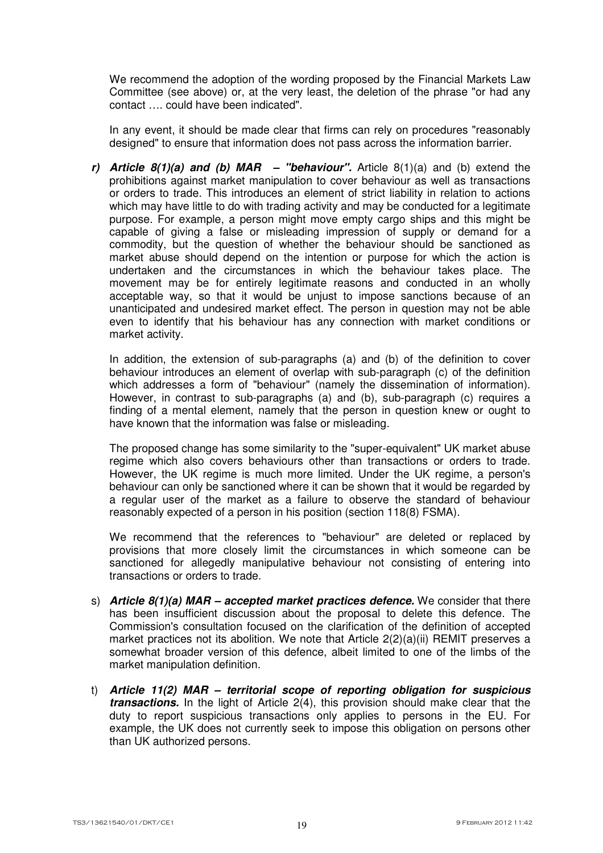We recommend the adoption of the wording proposed by the Financial Markets Law Committee (see above) or, at the very least, the deletion of the phrase "or had any contact …. could have been indicated".

In any event, it should be made clear that firms can rely on procedures "reasonably designed" to ensure that information does not pass across the information barrier.

*r) Article 8(1)(a) and (b) MAR – "behaviour".* Article 8(1)(a) and (b) extend the prohibitions against market manipulation to cover behaviour as well as transactions or orders to trade. This introduces an element of strict liability in relation to actions which may have little to do with trading activity and may be conducted for a legitimate purpose. For example, a person might move empty cargo ships and this might be capable of giving a false or misleading impression of supply or demand for a commodity, but the question of whether the behaviour should be sanctioned as market abuse should depend on the intention or purpose for which the action is undertaken and the circumstances in which the behaviour takes place. The movement may be for entirely legitimate reasons and conducted in an wholly acceptable way, so that it would be unjust to impose sanctions because of an unanticipated and undesired market effect. The person in question may not be able even to identify that his behaviour has any connection with market conditions or market activity.

In addition, the extension of sub-paragraphs (a) and (b) of the definition to cover behaviour introduces an element of overlap with sub-paragraph (c) of the definition which addresses a form of "behaviour" (namely the dissemination of information). However, in contrast to sub-paragraphs (a) and (b), sub-paragraph (c) requires a finding of a mental element, namely that the person in question knew or ought to have known that the information was false or misleading.

The proposed change has some similarity to the "super-equivalent" UK market abuse regime which also covers behaviours other than transactions or orders to trade. However, the UK regime is much more limited. Under the UK regime, a person's behaviour can only be sanctioned where it can be shown that it would be regarded by a regular user of the market as a failure to observe the standard of behaviour reasonably expected of a person in his position (section 118(8) FSMA).

We recommend that the references to "behaviour" are deleted or replaced by provisions that more closely limit the circumstances in which someone can be sanctioned for allegedly manipulative behaviour not consisting of entering into transactions or orders to trade.

- s) *Article 8(1)(a) MAR accepted market practices defence.* We consider that there has been insufficient discussion about the proposal to delete this defence. The Commission's consultation focused on the clarification of the definition of accepted market practices not its abolition. We note that Article  $2(2)(a)(ii)$  REMIT preserves a somewhat broader version of this defence, albeit limited to one of the limbs of the market manipulation definition.
- t) *Article 11(2) MAR territorial scope of reporting obligation for suspicious transactions.* In the light of Article 2(4), this provision should make clear that the duty to report suspicious transactions only applies to persons in the EU. For example, the UK does not currently seek to impose this obligation on persons other than UK authorized persons.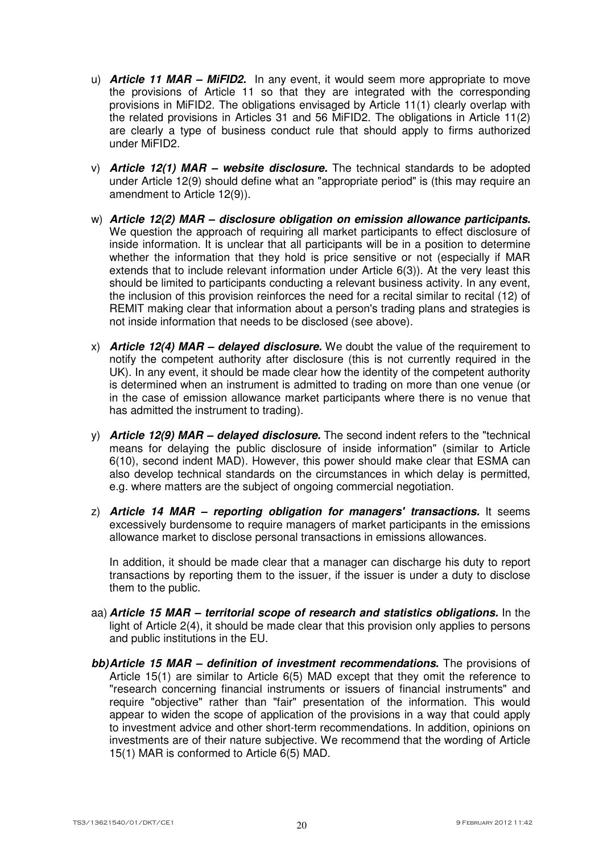- u) *Article 11 MAR MiFID2.* In any event, it would seem more appropriate to move the provisions of Article 11 so that they are integrated with the corresponding provisions in MiFID2. The obligations envisaged by Article 11(1) clearly overlap with the related provisions in Articles 31 and 56 MiFID2. The obligations in Article 11(2) are clearly a type of business conduct rule that should apply to firms authorized under MiFID2.
- v) *Article 12(1) MAR website disclosure.* The technical standards to be adopted under Article 12(9) should define what an "appropriate period" is (this may require an amendment to Article 12(9)).
- w) *Article 12(2) MAR disclosure obligation on emission allowance participants.* We question the approach of requiring all market participants to effect disclosure of inside information. It is unclear that all participants will be in a position to determine whether the information that they hold is price sensitive or not (especially if MAR extends that to include relevant information under Article 6(3)). At the very least this should be limited to participants conducting a relevant business activity. In any event, the inclusion of this provision reinforces the need for a recital similar to recital (12) of REMIT making clear that information about a person's trading plans and strategies is not inside information that needs to be disclosed (see above).
- x) *Article 12(4) MAR delayed disclosure.* We doubt the value of the requirement to notify the competent authority after disclosure (this is not currently required in the UK). In any event, it should be made clear how the identity of the competent authority is determined when an instrument is admitted to trading on more than one venue (or in the case of emission allowance market participants where there is no venue that has admitted the instrument to trading).
- y) *Article 12(9) MAR delayed disclosure.* The second indent refers to the "technical means for delaying the public disclosure of inside information" (similar to Article 6(10), second indent MAD). However, this power should make clear that ESMA can also develop technical standards on the circumstances in which delay is permitted, e.g. where matters are the subject of ongoing commercial negotiation.
- z) *Article 14 MAR reporting obligation for managers' transactions.* It seems excessively burdensome to require managers of market participants in the emissions allowance market to disclose personal transactions in emissions allowances.

In addition, it should be made clear that a manager can discharge his duty to report transactions by reporting them to the issuer, if the issuer is under a duty to disclose them to the public.

- aa) *Article 15 MAR territorial scope of research and statistics obligations.* In the light of Article 2(4), it should be made clear that this provision only applies to persons and public institutions in the EU.
- *bb) Article 15 MAR definition of investment recommendations.* **The provisions of** Article 15(1) are similar to Article 6(5) MAD except that they omit the reference to "research concerning financial instruments or issuers of financial instruments" and require "objective" rather than "fair" presentation of the information. This would appear to widen the scope of application of the provisions in a way that could apply to investment advice and other short-term recommendations. In addition, opinions on investments are of their nature subjective. We recommend that the wording of Article 15(1) MAR is conformed to Article 6(5) MAD.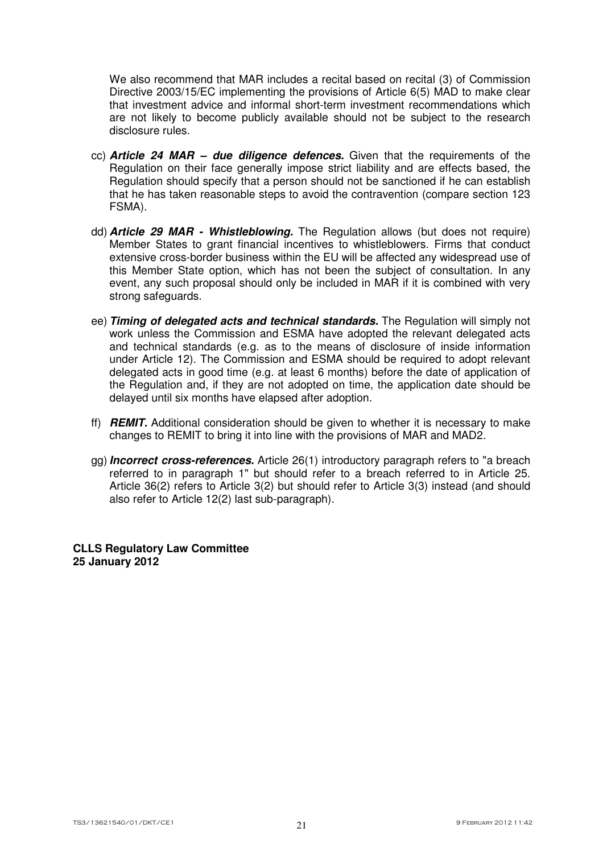We also recommend that MAR includes a recital based on recital (3) of Commission Directive 2003/15/EC implementing the provisions of Article 6(5) MAD to make clear that investment advice and informal short-term investment recommendations which are not likely to become publicly available should not be subject to the research disclosure rules.

- cc) *Article 24 MAR due diligence defences.* Given that the requirements of the Regulation on their face generally impose strict liability and are effects based, the Regulation should specify that a person should not be sanctioned if he can establish that he has taken reasonable steps to avoid the contravention (compare section 123 FSMA).
- dd) *Article 29 MAR Whistleblowing.* The Regulation allows (but does not require) Member States to grant financial incentives to whistleblowers. Firms that conduct extensive cross-border business within the EU will be affected any widespread use of this Member State option, which has not been the subject of consultation. In any event, any such proposal should only be included in MAR if it is combined with very strong safeguards.
- ee) *Timing of delegated acts and technical standards.* The Regulation will simply not work unless the Commission and ESMA have adopted the relevant delegated acts and technical standards (e.g. as to the means of disclosure of inside information under Article 12). The Commission and ESMA should be required to adopt relevant delegated acts in good time (e.g. at least 6 months) before the date of application of the Regulation and, if they are not adopted on time, the application date should be delayed until six months have elapsed after adoption.
- ff) *REMIT.* Additional consideration should be given to whether it is necessary to make changes to REMIT to bring it into line with the provisions of MAR and MAD2.
- gg) *Incorrect cross-references.* Article 26(1) introductory paragraph refers to "a breach referred to in paragraph 1" but should refer to a breach referred to in Article 25. Article 36(2) refers to Article 3(2) but should refer to Article 3(3) instead (and should also refer to Article 12(2) last sub-paragraph).

**CLLS Regulatory Law Committee 25 January 2012**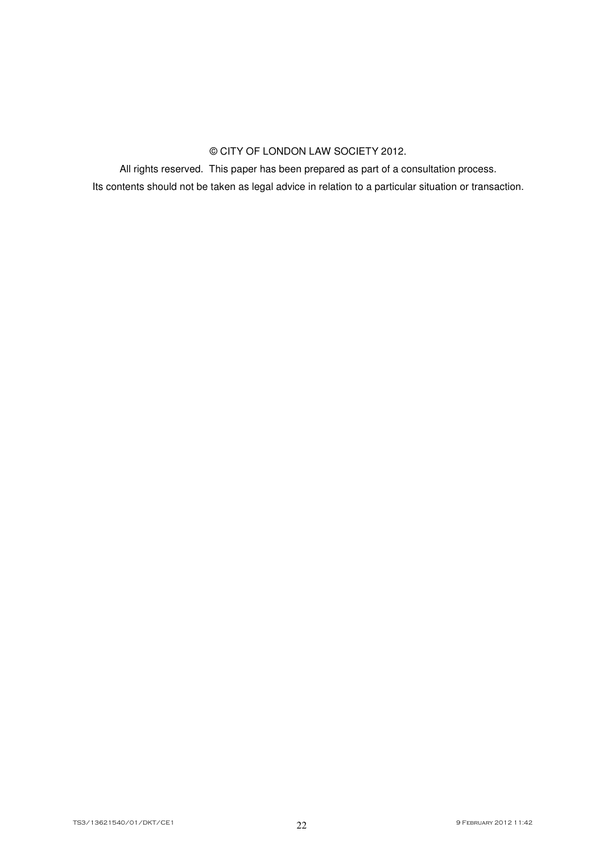# © CITY OF LONDON LAW SOCIETY 2012.

All rights reserved. This paper has been prepared as part of a consultation process.

Its contents should not be taken as legal advice in relation to a particular situation or transaction.